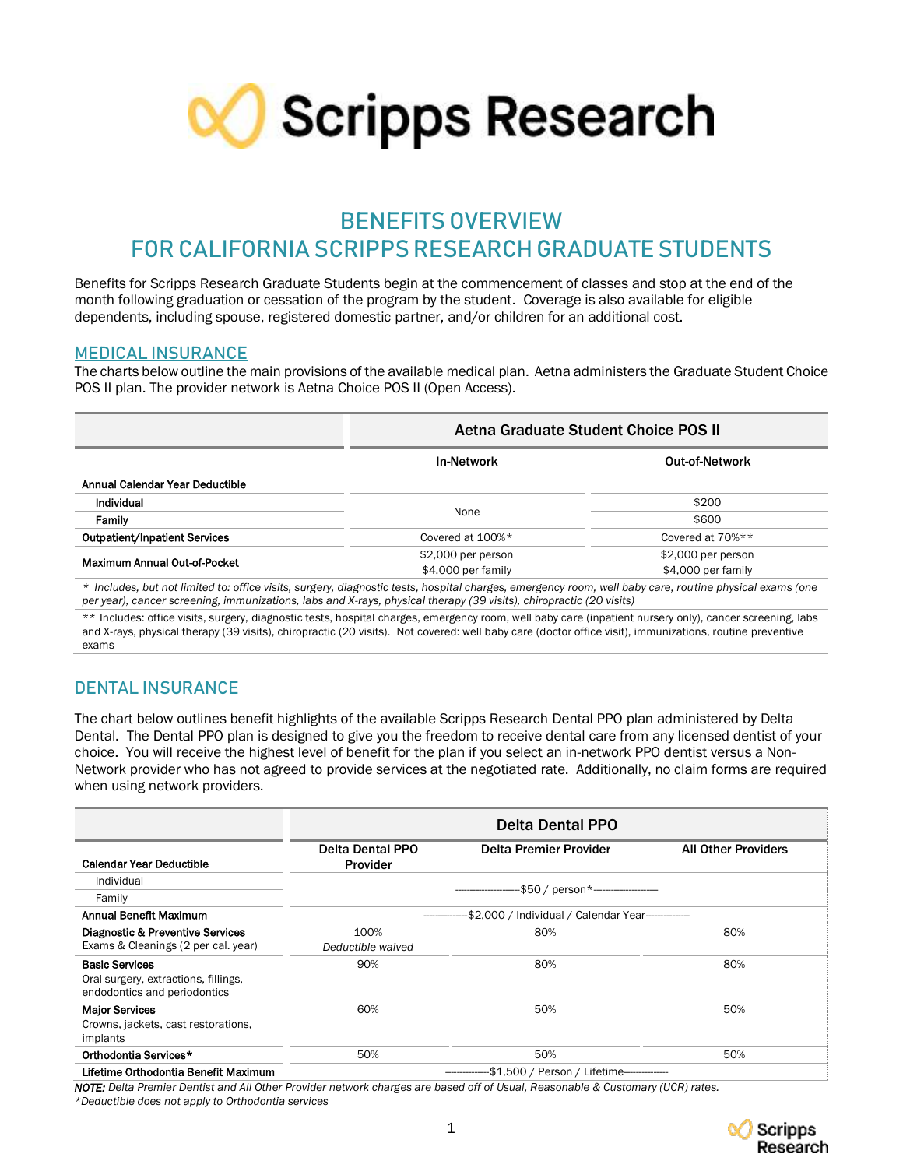

## **BENEFITS OVERVIEW FOR CALIFORNIA SCRIPPS RESEARCH GRADUATE STUDENTS**

Benefits for Scripps Research Graduate Students begin at the commencement of classes and stop at the end of the month following graduation or cessation of the program by the student. Coverage is also available for eligible dependents, including spouse, registered domestic partner, and/or children for an additional cost.

#### **MEDICAL INSURANCE**

The charts below outline the main provisions of the available medical plan. Aetna administers the Graduate Student Choice POS II plan. The provider network is Aetna Choice POS II (Open Access).

|                                      | Aetna Graduate Student Choice POS II |                       |  |
|--------------------------------------|--------------------------------------|-----------------------|--|
|                                      | <b>In-Network</b>                    | <b>Out-of-Network</b> |  |
| Annual Calendar Year Deductible      |                                      |                       |  |
| Individual                           |                                      | \$200                 |  |
| Family                               | None                                 | \$600                 |  |
| <b>Outpatient/Inpatient Services</b> | Covered at $100\%*$                  | Covered at 70%**      |  |
| Maximum Annual Out-of-Pocket         | \$2,000 per person                   | \$2,000 per person    |  |
|                                      | \$4,000 per family                   | \$4,000 per family    |  |

*\* Includes, but not limited to: office visits, surgery, diagnostic tests, hospital charges, emergency room, well baby care, routine physical exams (one per year), cancer screening, immunizations, labs and X-rays, physical therapy (39 visits), chiropractic (20 visits)*

\*\* Includes: office visits, surgery, diagnostic tests, hospital charges, emergency room, well baby care (inpatient nursery only), cancer screening, labs and X-rays, physical therapy (39 visits), chiropractic (20 visits). Not covered: well baby care (doctor office visit), immunizations, routine preventive exams

## **DENTAL INSURANCE**

The chart below outlines benefit highlights of the available Scripps Research Dental PPO plan administered by Delta Dental. The Dental PPO plan is designed to give you the freedom to receive dental care from any licensed dentist of your choice. You will receive the highest level of benefit for the plan if you select an in-network PPO dentist versus a Non-Network provider who has not agreed to provide services at the negotiated rate. Additionally, no claim forms are required when using network providers.

|                                                                                               | <b>Delta Dental PPO</b>                                            |                                      |                            |
|-----------------------------------------------------------------------------------------------|--------------------------------------------------------------------|--------------------------------------|----------------------------|
| <b>Calendar Year Deductible</b>                                                               | <b>Delta Dental PPO</b><br>Provider                                | Delta Premier Provider               | <b>All Other Providers</b> |
| Individual<br>Family                                                                          |                                                                    | -\$50 / person*--------------------- |                            |
| Annual Benefit Maximum                                                                        | --------------\$2,000 / Individual / Calendar Year---------------- |                                      |                            |
| Diagnostic & Preventive Services<br>Exams & Cleanings (2 per cal. year)                       | 100%<br>Deductible waived                                          | 80%                                  | 80%                        |
| <b>Basic Services</b><br>Oral surgery, extractions, fillings,<br>endodontics and periodontics | 90%                                                                | 80%                                  | 80%                        |
| <b>Major Services</b><br>Crowns, jackets, cast restorations,<br>implants                      | 60%                                                                | 50%                                  | 50%                        |
| Orthodontia Services*                                                                         | 50%                                                                | 50%                                  | 50%                        |
| Lifetime Orthodontia Benefit Maximum                                                          | --------------\$1,500 / Person / Lifetime--------------            |                                      |                            |

*NOTE: Delta Premier Dentist and All Other Provider network charges are based off of Usual, Reasonable & Customary (UCR) rates. \*Deductible does not apply to Orthodontia services*

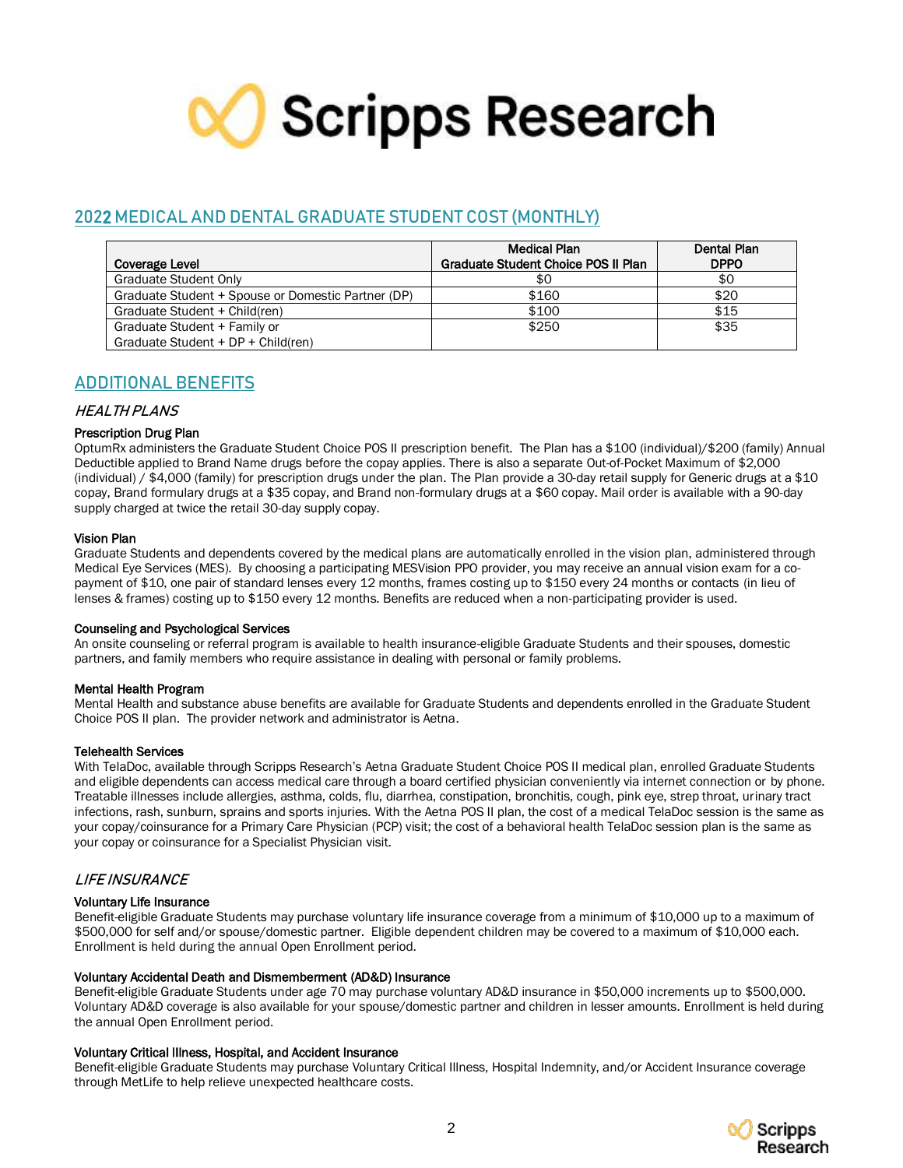

## **202**2 **MEDICAL AND DENTAL GRADUATE STUDENT COST (MONTHLY)**

|                                                    | <b>Medical Plan</b>                 | Dental Plan |
|----------------------------------------------------|-------------------------------------|-------------|
| Coverage Level                                     | Graduate Student Choice POS II Plan | <b>DPPO</b> |
| Graduate Student Only                              | \$0                                 | \$0         |
| Graduate Student + Spouse or Domestic Partner (DP) | \$160                               | \$20        |
| Graduate Student + Child(ren)                      | \$100                               | \$15        |
| Graduate Student + Family or                       | \$250                               | \$35        |
| Graduate Student + DP + Child(ren)                 |                                     |             |

## **ADDITIONAL BENEFITS**

HEALTH PLANS

#### Prescription Drug Plan

OptumRx administers the Graduate Student Choice POS II prescription benefit. The Plan has a \$100 (individual)/\$200 (family) Annual Deductible applied to Brand Name drugs before the copay applies. There is also a separate Out-of-Pocket Maximum of \$2,000 (individual) / \$4,000 (family) for prescription drugs under the plan. The Plan provide a 30-day retail supply for Generic drugs at a \$10 copay, Brand formulary drugs at a \$35 copay, and Brand non-formulary drugs at a \$60 copay. Mail order is available with a 90-day supply charged at twice the retail 30-day supply copay.

#### Vision Plan

Graduate Students and dependents covered by the medical plans are automatically enrolled in the vision plan, administered through Medical Eye Services (MES). By choosing a participating MESVision PPO provider, you may receive an annual vision exam for a copayment of \$10, one pair of standard lenses every 12 months, frames costing up to \$150 every 24 months or contacts (in lieu of lenses & frames) costing up to \$150 every 12 months. Benefits are reduced when a non-participating provider is used.

#### Counseling and Psychological Services

An onsite counseling or referral program is available to health insurance-eligible Graduate Students and their spouses, domestic partners, and family members who require assistance in dealing with personal or family problems.

#### Mental Health Program

Mental Health and substance abuse benefits are available for Graduate Students and dependents enrolled in the Graduate Student Choice POS II plan. The provider network and administrator is Aetna.

#### Telehealth Services

With TelaDoc, available through Scripps Research's Aetna Graduate Student Choice POS II medical plan, enrolled Graduate Students and eligible dependents can access medical care through a board certified physician conveniently via internet connection or by phone. Treatable illnesses include allergies, asthma, colds, flu, diarrhea, constipation, bronchitis, cough, pink eye, strep throat, urinary tract infections, rash, sunburn, sprains and sports injuries. With the Aetna POS II plan, the cost of a medical TelaDoc session is the same as your copay/coinsurance for a Primary Care Physician (PCP) visit; the cost of a behavioral health TelaDoc session plan is the same as your copay or coinsurance for a Specialist Physician visit.

#### LIFE INSURANCE

#### Voluntary Life Insurance

Benefit-eligible Graduate Students may purchase voluntary life insurance coverage from a minimum of \$10,000 up to a maximum of \$500,000 for self and/or spouse/domestic partner. Eligible dependent children may be covered to a maximum of \$10,000 each. Enrollment is held during the annual Open Enrollment period.

#### Voluntary Accidental Death and Dismemberment (AD&D) Insurance

Benefit-eligible Graduate Students under age 70 may purchase voluntary AD&D insurance in \$50,000 increments up to \$500,000. Voluntary AD&D coverage is also available for your spouse/domestic partner and children in lesser amounts. Enrollment is held during the annual Open Enrollment period.

#### Voluntary Critical Illness, Hospital, and Accident Insurance

Benefit-eligible Graduate Students may purchase Voluntary Critical Illness, Hospital Indemnity, and/or Accident Insurance coverage through MetLife to help relieve unexpected healthcare costs.